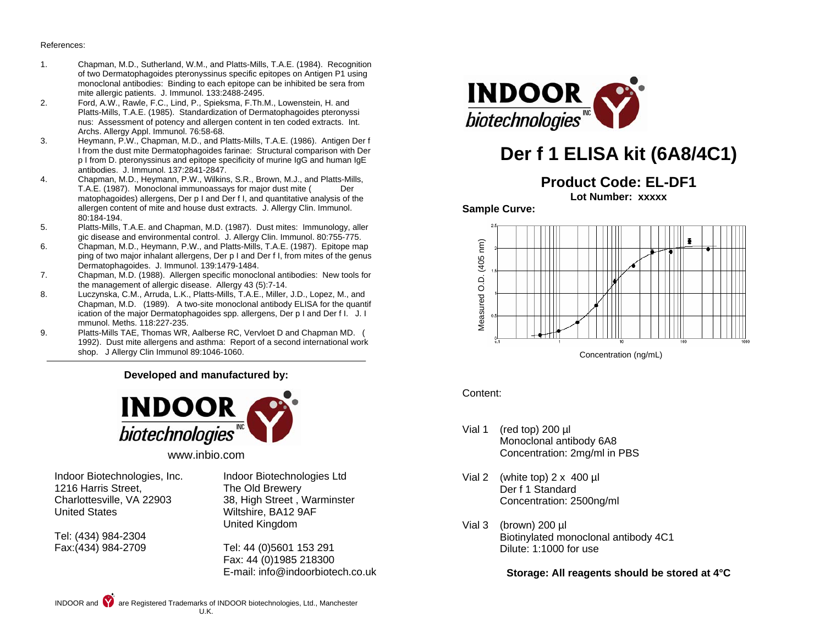#### References:

- 1. Chapman, M.D., Sutherland, W.M., and Platts-Mills, T.A.E. (1984). Recognition of two Dermatophagoides pteronyssinus specific epitopes on Antigen P1 using monoclonal antibodies: Binding to each epitope can be inhibited be sera from mite allergic patients. J. Immunol. 133:2488-2495.<br>Pord. A.W., Rawle, F.C., Lind, P., Spieksma, F.Th.
- 2. Ford, A.W., Rawle, F.C., Lind, P., Spieksma, F.Th.M., Lowenstein, H. and Platts-Mills, T.A.E. (1985). Standardization of Dermatophagoides pteronyssi nus: Assessment of potency and allergen content in ten coded extracts. Int. Archs. Allergy Appl. Immunol. 76:58-68.<br>3. Heymann. P.W., Chapman, M.D., and P.
- 3. Heymann, P.W., Chapman, M.D., and Platts-Mills, T.A.E. (1986). Antigen Der f I from the dust mite Dermatophagoides farinae: Structural comparison with Der p I from D. pteronyssinus and epitope specificity of murine IgG and human IgE antibodies. J. Immunol. 137:2841-2847.
- 4. Chapman, M.D., Heymann, P.W., Wilkins, S.R., Brown, M.J., and Platts-Mills, T.A.E. (1987). Monoclonal immunoassays for major dust mite ( Der matophagoides) allergens, Der p I and Der f I, and quantitative analysis of the allergen content of mite and house dust extracts. J. Allergy Clin. Immunol. 80:184-194.
- 5. Platts-Mills, T.A.E. and Chapman, M.D. (1987). Dust mites: Immunology, aller gic disease and environmental control. J. Allergy Clin. Immunol. 80:755-775.<br>6 Chapman, M.D. Heymann, P.W. and Platts-Mills, T.A.F. (1987). Epitope ma
- 6. Chapman, M.D., Heymann, P.W., and Platts-Mills, T.A.E. (1987). Epitope map ping of two major inhalant allergens, Der p I and Der f I, from mites of the genus Dermatophagoides. J. Immunol. 139:1479-1484.
- 7. Chapman, M.D. (1988). Allergen specific monoclonal antibodies: New tools for the management of allergic disease. Allergy 43 (5):7-14.<br>B. Luczynska, C.M., Arruda, L.K., Platts-Mills, T.A.E., Miller.
- Luczynska, C.M., Arruda, L.K., Platts-Mills, T.A.E., Miller, J.D., Lopez, M., and Chapman, M.D. (1989). A two-site monoclonal antibody ELISA for the quantif ication of the major Dermatophagoides spp. allergens, Der p I and Der f I. J. I mmunol. Meths. 118:227-235.
- 9. Platts-Mills TAE, Thomas WR, Aalberse RC, Vervloet D and Chapman MD. ( 1992). Dust mite allergens and asthma: Report of a second international work shop. J Allergy Clin Immunol 89:1046-1060.

### **Developed and manufactured by:**



www.inbio.com

Indoor Biotechnologies, Inc. 1216 Harris Street, Charlottesville, VA 22903 United States

Tel: (434) 984-2304 Fax:(434) 984-2709 Indoor Biotechnologies Ltd The Old Brewery 38, High Street , Warminster Wiltshire, BA12 9AF United Kingdom

Tel: 44 (0)5601 153 291 Fax: 44 (0)1985 218300 E-mail: info@indoorbiotech.co.uk



# **Der f 1 ELISA kit (6A8/4C1)**

## **Product Code: EL-DF1**

**Lot Number: xxxxx** 

### **Sample Curve:**



### Content:

- Vial 1 (red top) 200 µl Monoclonal antibody 6A8 Concentration: 2mg/ml in PBS
- Vial 2 (white top) 2 x 400 µl Der f 1 Standard Concentration: 2500ng/ml
- Vial 3 (brown) 200 ul Biotinylated monoclonal antibody 4C1 Dilute: 1:1000 for use

**Storage: All reagents should be stored at 4°C**